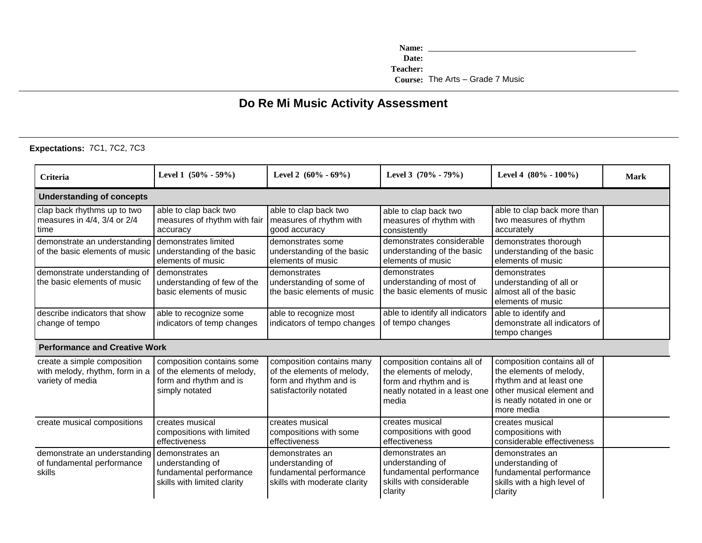**Name: Teacher: Date: Course:** The Arts – Grade 7 Music

## **Do Re Mi Music Activity Assessment**

**Expectations:** 7C1, 7C2, 7C3

| <b>Criteria</b>                                                                   | Level 1 $(50\% - 59\%)$                                                                             | Level 2 $(60\% - 69\%)$                                                                                     | Level 3 $(70\% - 79\%)$                                                                                                    | Level 4 $(80\% - 100\%)$                                                                                                                                    | <b>Mark</b> |  |  |  |  |
|-----------------------------------------------------------------------------------|-----------------------------------------------------------------------------------------------------|-------------------------------------------------------------------------------------------------------------|----------------------------------------------------------------------------------------------------------------------------|-------------------------------------------------------------------------------------------------------------------------------------------------------------|-------------|--|--|--|--|
| <b>Understanding of concepts</b>                                                  |                                                                                                     |                                                                                                             |                                                                                                                            |                                                                                                                                                             |             |  |  |  |  |
| clap back rhythms up to two<br>measures in 4/4, 3/4 or 2/4<br>time                | able to clap back two<br>measures of rhythm with fair<br>accuracy                                   | able to clap back two<br>measures of rhythm with<br>good accuracy                                           | able to clap back two<br>measures of rhythm with<br>consistently                                                           | able to clap back more than<br>two measures of rhythm<br>accurately                                                                                         |             |  |  |  |  |
| demonstrate an understanding<br>of the basic elements of music                    | demonstrates limited<br>understanding of the basic<br>elements of music                             | demonstrates some<br>understanding of the basic<br>elements of music                                        | demonstrates considerable<br>understanding of the basic<br>elements of music                                               | demonstrates thorough<br>understanding of the basic<br>elements of music                                                                                    |             |  |  |  |  |
| demonstrate understanding of<br>the basic elements of music                       | demonstrates<br>understanding of few of the<br>basic elements of music                              | demonstrates<br>understanding of some of<br>the basic elements of music                                     | demonstrates<br>understanding of most of<br>the basic elements of music                                                    | demonstrates<br>understanding of all or<br>almost all of the basic<br>elements of music                                                                     |             |  |  |  |  |
| describe indicators that show<br>change of tempo                                  | able to recognize some<br>indicators of temp changes                                                | able to recognize most<br>indicators of tempo changes                                                       | able to identify all indicators<br>of tempo changes                                                                        | able to identify and<br>demonstrate all indicators of<br>tempo changes                                                                                      |             |  |  |  |  |
| <b>Performance and Creative Work</b>                                              |                                                                                                     |                                                                                                             |                                                                                                                            |                                                                                                                                                             |             |  |  |  |  |
| create a simple composition<br>with melody, rhythm, form in a<br>variety of media | composition contains some<br>of the elements of melody,<br>form and rhythm and is<br>simply notated | composition contains many<br>of the elements of melody,<br>form and rhythm and is<br>satisfactorily notated | composition contains all of<br>the elements of melody,<br>form and rhythm and is<br>neatly notated in a least one<br>media | composition contains all of<br>the elements of melody,<br>rhythm and at least one<br>other musical element and<br>is neatly notated in one or<br>more media |             |  |  |  |  |
| create musical compositions                                                       | creates musical<br>compositions with limited<br>effectiveness                                       | creates musical<br>compositions with some<br>effectiveness                                                  | creates musical<br>compositions with good<br>effectiveness                                                                 | creates musical<br>compositions with<br>considerable effectiveness                                                                                          |             |  |  |  |  |
| demonstrate an understanding<br>of fundamental performance<br>skills              | demonstrates an<br>understanding of<br>fundamental performance<br>skills with limited clarity       | demonstrates an<br>understanding of<br>fundamental performance<br>skills with moderate clarity              | demonstrates an<br>understanding of<br>fundamental performance<br>skills with considerable<br>clarity                      | demonstrates an<br>understanding of<br>fundamental performance<br>skills with a high level of<br>clarity                                                    |             |  |  |  |  |